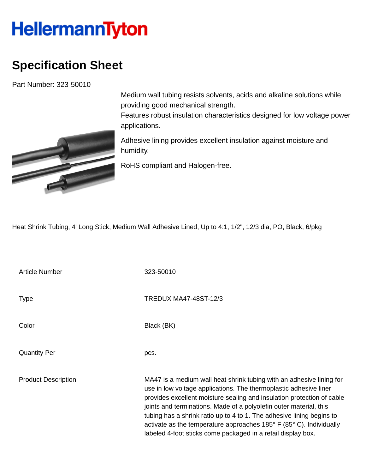## **HellermannTyton**

## **Specification Sheet**

Part Number: 323-50010



Medium wall tubing resists solvents, acids and alkaline solutions while providing good mechanical strength.

Features robust insulation characteristics designed for low voltage power applications.

Adhesive lining provides excellent insulation against moisture and humidity.

RoHS compliant and Halogen-free.

Heat Shrink Tubing, 4' Long Stick, Medium Wall Adhesive Lined, Up to 4:1, 1/2", 12/3 dia, PO, Black, 6/pkg

Article Number 323-50010 Type Type TREDUX MA47-48ST-12/3 Color Black (BK) Quantity Per pcs. Product Description MA47 is a medium wall heat shrink tubing with an adhesive lining for use in low voltage applications. The thermoplastic adhesive liner provides excellent moisture sealing and insulation protection of cable joints and terminations. Made of a polyolefin outer material, this tubing has a shrink ratio up to 4 to 1. The adhesive lining begins to activate as the temperature approaches 185° F (85° C). Individually labeled 4-foot sticks come packaged in a retail display box.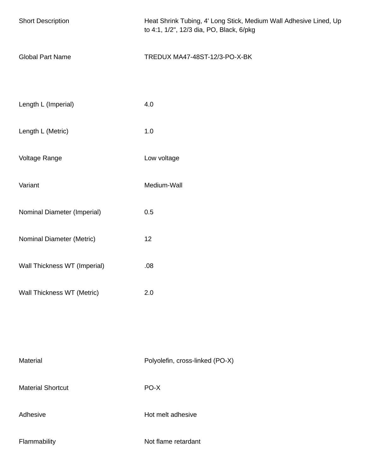| <b>Short Description</b>     | Heat Shrink Tubing, 4' Long Stick, Medium Wall Adhesive Lined, Up<br>to 4:1, 1/2", 12/3 dia, PO, Black, 6/pkg |
|------------------------------|---------------------------------------------------------------------------------------------------------------|
| <b>Global Part Name</b>      | TREDUX MA47-48ST-12/3-PO-X-BK                                                                                 |
| Length L (Imperial)          | 4.0                                                                                                           |
| Length L (Metric)            | 1.0                                                                                                           |
| Voltage Range                | Low voltage                                                                                                   |
| Variant                      | Medium-Wall                                                                                                   |
| Nominal Diameter (Imperial)  | 0.5                                                                                                           |
| Nominal Diameter (Metric)    | 12                                                                                                            |
| Wall Thickness WT (Imperial) | .08                                                                                                           |
| Wall Thickness WT (Metric)   | 2.0                                                                                                           |
|                              |                                                                                                               |
| Material                     | Polyolefin, cross-linked (PO-X)                                                                               |
| <b>Material Shortcut</b>     | PO-X                                                                                                          |
| Adhesive                     | Hot melt adhesive                                                                                             |
| Flammability                 | Not flame retardant                                                                                           |